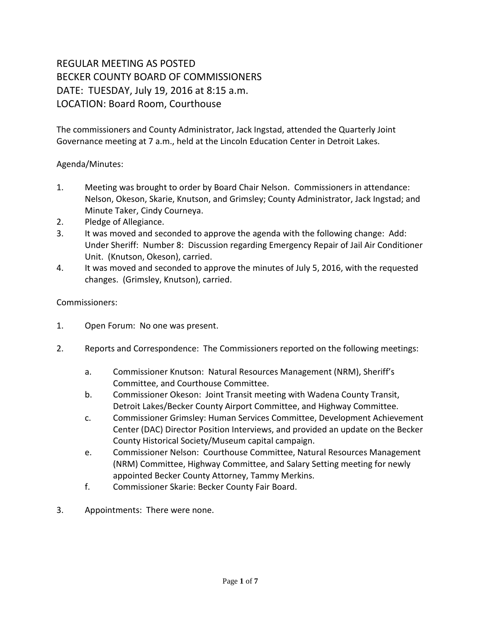## REGULAR MEETING AS POSTED BECKER COUNTY BOARD OF COMMISSIONERS DATE: TUESDAY, July 19, 2016 at 8:15 a.m. LOCATION: Board Room, Courthouse

The commissioners and County Administrator, Jack Ingstad, attended the Quarterly Joint Governance meeting at 7 a.m., held at the Lincoln Education Center in Detroit Lakes.

## Agenda/Minutes:

- 1. Meeting was brought to order by Board Chair Nelson. Commissioners in attendance: Nelson, Okeson, Skarie, Knutson, and Grimsley; County Administrator, Jack Ingstad; and Minute Taker, Cindy Courneya.
- 2. Pledge of Allegiance.
- 3. It was moved and seconded to approve the agenda with the following change: Add: Under Sheriff: Number 8: Discussion regarding Emergency Repair of Jail Air Conditioner Unit. (Knutson, Okeson), carried.
- 4. It was moved and seconded to approve the minutes of July 5, 2016, with the requested changes. (Grimsley, Knutson), carried.

## Commissioners:

- 1. Open Forum: No one was present.
- 2. Reports and Correspondence: The Commissioners reported on the following meetings:
	- a. Commissioner Knutson: Natural Resources Management (NRM), Sheriff's Committee, and Courthouse Committee.
	- b. Commissioner Okeson: Joint Transit meeting with Wadena County Transit, Detroit Lakes/Becker County Airport Committee, and Highway Committee.
	- c. Commissioner Grimsley: Human Services Committee, Development Achievement Center (DAC) Director Position Interviews, and provided an update on the Becker County Historical Society/Museum capital campaign.
	- e. Commissioner Nelson: Courthouse Committee, Natural Resources Management (NRM) Committee, Highway Committee, and Salary Setting meeting for newly appointed Becker County Attorney, Tammy Merkins.
	- f. Commissioner Skarie: Becker County Fair Board.
- 3. Appointments: There were none.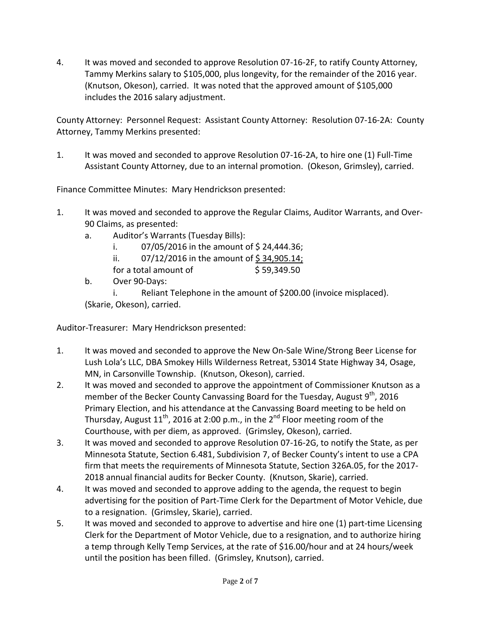4. It was moved and seconded to approve Resolution 07-16-2F, to ratify County Attorney, Tammy Merkins salary to \$105,000, plus longevity, for the remainder of the 2016 year. (Knutson, Okeson), carried. It was noted that the approved amount of \$105,000 includes the 2016 salary adjustment.

County Attorney: Personnel Request: Assistant County Attorney: Resolution 07-16-2A: County Attorney, Tammy Merkins presented:

1. It was moved and seconded to approve Resolution 07-16-2A, to hire one (1) Full-Time Assistant County Attorney, due to an internal promotion. (Okeson, Grimsley), carried.

Finance Committee Minutes: Mary Hendrickson presented:

- 1. It was moved and seconded to approve the Regular Claims, Auditor Warrants, and Over-90 Claims, as presented:
	- a. Auditor's Warrants (Tuesday Bills):
		- i.  $07/05/2016$  in the amount of \$24,444.36;
		- ii.  $07/12/2016$  in the amount of \$34,905.14;
		- for a total amount of  $$59,349.50$
	- b. Over 90-Days:

i. Reliant Telephone in the amount of \$200.00 (invoice misplaced). (Skarie, Okeson), carried.

Auditor-Treasurer: Mary Hendrickson presented:

- 1. It was moved and seconded to approve the New On-Sale Wine/Strong Beer License for Lush Lola's LLC, DBA Smokey Hills Wilderness Retreat, 53014 State Highway 34, Osage, MN, in Carsonville Township. (Knutson, Okeson), carried.
- 2. It was moved and seconded to approve the appointment of Commissioner Knutson as a member of the Becker County Canvassing Board for the Tuesday, August  $9<sup>th</sup>$ , 2016 Primary Election, and his attendance at the Canvassing Board meeting to be held on Thursday, August  $11<sup>th</sup>$ , 2016 at 2:00 p.m., in the 2<sup>nd</sup> Floor meeting room of the Courthouse, with per diem, as approved. (Grimsley, Okeson), carried.
- 3. It was moved and seconded to approve Resolution 07-16-2G, to notify the State, as per Minnesota Statute, Section 6.481, Subdivision 7, of Becker County's intent to use a CPA firm that meets the requirements of Minnesota Statute, Section 326A.05, for the 2017- 2018 annual financial audits for Becker County. (Knutson, Skarie), carried.
- 4. It was moved and seconded to approve adding to the agenda, the request to begin advertising for the position of Part-Time Clerk for the Department of Motor Vehicle, due to a resignation. (Grimsley, Skarie), carried.
- 5. It was moved and seconded to approve to advertise and hire one (1) part-time Licensing Clerk for the Department of Motor Vehicle, due to a resignation, and to authorize hiring a temp through Kelly Temp Services, at the rate of \$16.00/hour and at 24 hours/week until the position has been filled. (Grimsley, Knutson), carried.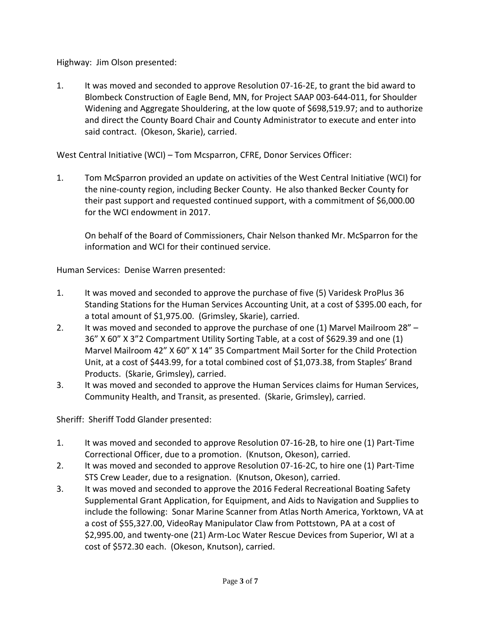Highway: Jim Olson presented:

1. It was moved and seconded to approve Resolution 07-16-2E, to grant the bid award to Blombeck Construction of Eagle Bend, MN, for Project SAAP 003-644-011, for Shoulder Widening and Aggregate Shouldering, at the low quote of \$698,519.97; and to authorize and direct the County Board Chair and County Administrator to execute and enter into said contract. (Okeson, Skarie), carried.

West Central Initiative (WCI) – Tom Mcsparron, CFRE, Donor Services Officer:

1. Tom McSparron provided an update on activities of the West Central Initiative (WCI) for the nine-county region, including Becker County. He also thanked Becker County for their past support and requested continued support, with a commitment of \$6,000.00 for the WCI endowment in 2017.

On behalf of the Board of Commissioners, Chair Nelson thanked Mr. McSparron for the information and WCI for their continued service.

Human Services: Denise Warren presented:

- 1. It was moved and seconded to approve the purchase of five (5) Varidesk ProPlus 36 Standing Stations for the Human Services Accounting Unit, at a cost of \$395.00 each, for a total amount of \$1,975.00. (Grimsley, Skarie), carried.
- 2. It was moved and seconded to approve the purchase of one (1) Marvel Mailroom 28" 36" X 60" X 3"2 Compartment Utility Sorting Table, at a cost of \$629.39 and one (1) Marvel Mailroom 42" X 60" X 14" 35 Compartment Mail Sorter for the Child Protection Unit, at a cost of \$443.99, for a total combined cost of \$1,073.38, from Staples' Brand Products. (Skarie, Grimsley), carried.
- 3. It was moved and seconded to approve the Human Services claims for Human Services, Community Health, and Transit, as presented. (Skarie, Grimsley), carried.

Sheriff: Sheriff Todd Glander presented:

- 1. It was moved and seconded to approve Resolution 07-16-2B, to hire one (1) Part-Time Correctional Officer, due to a promotion. (Knutson, Okeson), carried.
- 2. It was moved and seconded to approve Resolution 07-16-2C, to hire one (1) Part-Time STS Crew Leader, due to a resignation. (Knutson, Okeson), carried.
- 3. It was moved and seconded to approve the 2016 Federal Recreational Boating Safety Supplemental Grant Application, for Equipment, and Aids to Navigation and Supplies to include the following: Sonar Marine Scanner from Atlas North America, Yorktown, VA at a cost of \$55,327.00, VideoRay Manipulator Claw from Pottstown, PA at a cost of \$2,995.00, and twenty-one (21) Arm-Loc Water Rescue Devices from Superior, WI at a cost of \$572.30 each. (Okeson, Knutson), carried.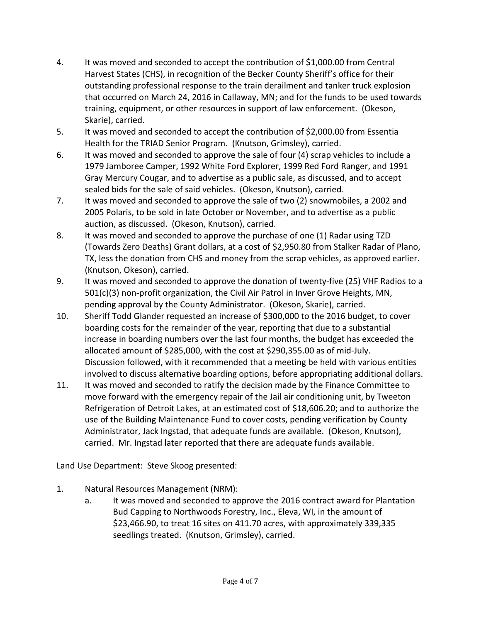- 4. It was moved and seconded to accept the contribution of \$1,000.00 from Central Harvest States (CHS), in recognition of the Becker County Sheriff's office for their outstanding professional response to the train derailment and tanker truck explosion that occurred on March 24, 2016 in Callaway, MN; and for the funds to be used towards training, equipment, or other resources in support of law enforcement. (Okeson, Skarie), carried.
- 5. It was moved and seconded to accept the contribution of \$2,000.00 from Essentia Health for the TRIAD Senior Program. (Knutson, Grimsley), carried.
- 6. It was moved and seconded to approve the sale of four (4) scrap vehicles to include a 1979 Jamboree Camper, 1992 White Ford Explorer, 1999 Red Ford Ranger, and 1991 Gray Mercury Cougar, and to advertise as a public sale, as discussed, and to accept sealed bids for the sale of said vehicles. (Okeson, Knutson), carried.
- 7. It was moved and seconded to approve the sale of two (2) snowmobiles, a 2002 and 2005 Polaris, to be sold in late October or November, and to advertise as a public auction, as discussed. (Okeson, Knutson), carried.
- 8. It was moved and seconded to approve the purchase of one (1) Radar using TZD (Towards Zero Deaths) Grant dollars, at a cost of \$2,950.80 from Stalker Radar of Plano, TX, less the donation from CHS and money from the scrap vehicles, as approved earlier. (Knutson, Okeson), carried.
- 9. It was moved and seconded to approve the donation of twenty-five (25) VHF Radios to a 501(c)(3) non-profit organization, the Civil Air Patrol in Inver Grove Heights, MN, pending approval by the County Administrator. (Okeson, Skarie), carried.
- 10. Sheriff Todd Glander requested an increase of \$300,000 to the 2016 budget, to cover boarding costs for the remainder of the year, reporting that due to a substantial increase in boarding numbers over the last four months, the budget has exceeded the allocated amount of \$285,000, with the cost at \$290,355.00 as of mid-July. Discussion followed, with it recommended that a meeting be held with various entities involved to discuss alternative boarding options, before appropriating additional dollars.
- 11. It was moved and seconded to ratify the decision made by the Finance Committee to move forward with the emergency repair of the Jail air conditioning unit, by Tweeton Refrigeration of Detroit Lakes, at an estimated cost of \$18,606.20; and to authorize the use of the Building Maintenance Fund to cover costs, pending verification by County Administrator, Jack Ingstad, that adequate funds are available. (Okeson, Knutson), carried. Mr. Ingstad later reported that there are adequate funds available.

Land Use Department: Steve Skoog presented:

- 1. Natural Resources Management (NRM):
	- a. It was moved and seconded to approve the 2016 contract award for Plantation Bud Capping to Northwoods Forestry, Inc., Eleva, WI, in the amount of \$23,466.90, to treat 16 sites on 411.70 acres, with approximately 339,335 seedlings treated. (Knutson, Grimsley), carried.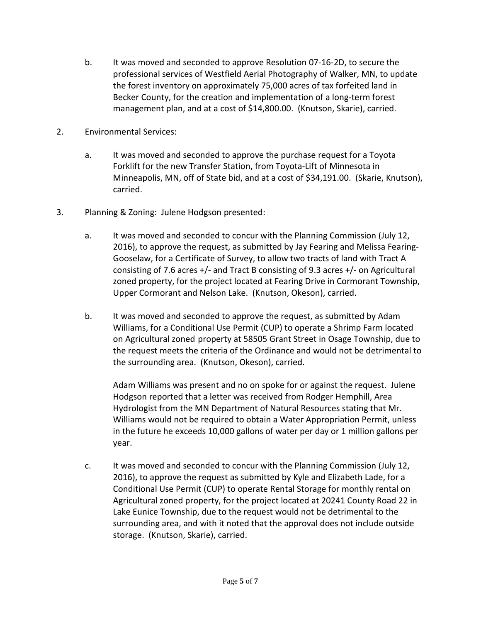- b. It was moved and seconded to approve Resolution 07-16-2D, to secure the professional services of Westfield Aerial Photography of Walker, MN, to update the forest inventory on approximately 75,000 acres of tax forfeited land in Becker County, for the creation and implementation of a long-term forest management plan, and at a cost of \$14,800.00. (Knutson, Skarie), carried.
- 2. Environmental Services:
	- a. It was moved and seconded to approve the purchase request for a Toyota Forklift for the new Transfer Station, from Toyota-Lift of Minnesota in Minneapolis, MN, off of State bid, and at a cost of \$34,191.00. (Skarie, Knutson), carried.
- 3. Planning & Zoning: Julene Hodgson presented:
	- a. It was moved and seconded to concur with the Planning Commission (July 12, 2016), to approve the request, as submitted by Jay Fearing and Melissa Fearing-Gooselaw, for a Certificate of Survey, to allow two tracts of land with Tract A consisting of 7.6 acres  $+/-$  and Tract B consisting of 9.3 acres  $+/-$  on Agricultural zoned property, for the project located at Fearing Drive in Cormorant Township, Upper Cormorant and Nelson Lake. (Knutson, Okeson), carried.
	- b. It was moved and seconded to approve the request, as submitted by Adam Williams, for a Conditional Use Permit (CUP) to operate a Shrimp Farm located on Agricultural zoned property at 58505 Grant Street in Osage Township, due to the request meets the criteria of the Ordinance and would not be detrimental to the surrounding area. (Knutson, Okeson), carried.

Adam Williams was present and no on spoke for or against the request. Julene Hodgson reported that a letter was received from Rodger Hemphill, Area Hydrologist from the MN Department of Natural Resources stating that Mr. Williams would not be required to obtain a Water Appropriation Permit, unless in the future he exceeds 10,000 gallons of water per day or 1 million gallons per year.

c. It was moved and seconded to concur with the Planning Commission (July 12, 2016), to approve the request as submitted by Kyle and Elizabeth Lade, for a Conditional Use Permit (CUP) to operate Rental Storage for monthly rental on Agricultural zoned property, for the project located at 20241 County Road 22 in Lake Eunice Township, due to the request would not be detrimental to the surrounding area, and with it noted that the approval does not include outside storage. (Knutson, Skarie), carried.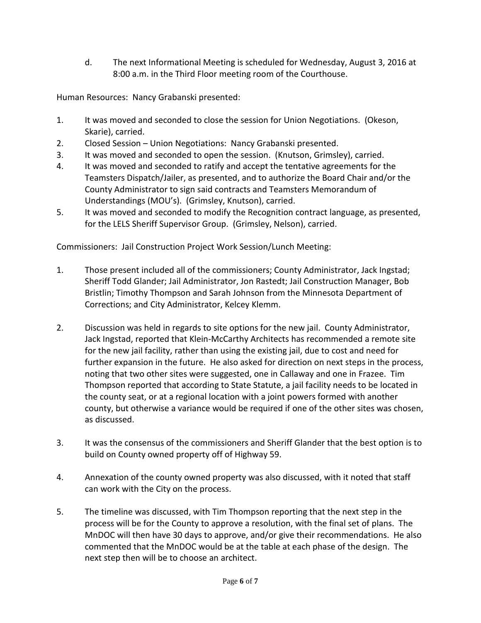d. The next Informational Meeting is scheduled for Wednesday, August 3, 2016 at 8:00 a.m. in the Third Floor meeting room of the Courthouse.

Human Resources: Nancy Grabanski presented:

- 1. It was moved and seconded to close the session for Union Negotiations. (Okeson, Skarie), carried.
- 2. Closed Session Union Negotiations: Nancy Grabanski presented.
- 3. It was moved and seconded to open the session. (Knutson, Grimsley), carried.
- 4. It was moved and seconded to ratify and accept the tentative agreements for the Teamsters Dispatch/Jailer, as presented, and to authorize the Board Chair and/or the County Administrator to sign said contracts and Teamsters Memorandum of Understandings (MOU's). (Grimsley, Knutson), carried.
- 5. It was moved and seconded to modify the Recognition contract language, as presented, for the LELS Sheriff Supervisor Group. (Grimsley, Nelson), carried.

Commissioners: Jail Construction Project Work Session/Lunch Meeting:

- 1. Those present included all of the commissioners; County Administrator, Jack Ingstad; Sheriff Todd Glander; Jail Administrator, Jon Rastedt; Jail Construction Manager, Bob Bristlin; Timothy Thompson and Sarah Johnson from the Minnesota Department of Corrections; and City Administrator, Kelcey Klemm.
- 2. Discussion was held in regards to site options for the new jail. County Administrator, Jack Ingstad, reported that Klein-McCarthy Architects has recommended a remote site for the new jail facility, rather than using the existing jail, due to cost and need for further expansion in the future. He also asked for direction on next steps in the process, noting that two other sites were suggested, one in Callaway and one in Frazee. Tim Thompson reported that according to State Statute, a jail facility needs to be located in the county seat, or at a regional location with a joint powers formed with another county, but otherwise a variance would be required if one of the other sites was chosen, as discussed.
- 3. It was the consensus of the commissioners and Sheriff Glander that the best option is to build on County owned property off of Highway 59.
- 4. Annexation of the county owned property was also discussed, with it noted that staff can work with the City on the process.
- 5. The timeline was discussed, with Tim Thompson reporting that the next step in the process will be for the County to approve a resolution, with the final set of plans. The MnDOC will then have 30 days to approve, and/or give their recommendations. He also commented that the MnDOC would be at the table at each phase of the design. The next step then will be to choose an architect.